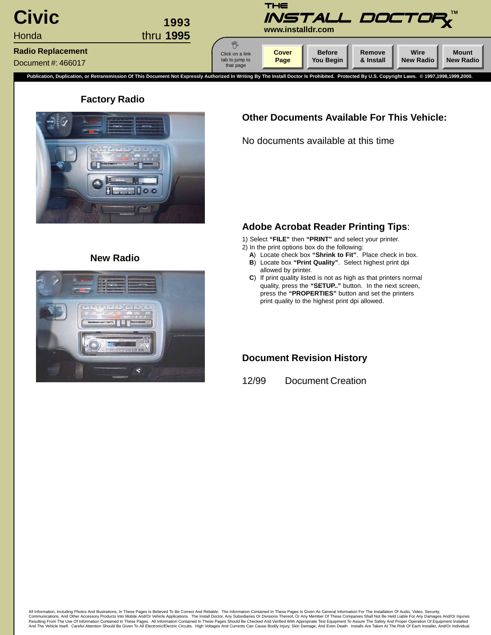<span id="page-0-0"></span>

### **Factory Radio**



### **Other Documents Available For This Vehicle:**

No documents available at this time

### **Adobe Acrobat Reader Printing Tips**:

1) Select **"FILE"** then **"PRINT"** and select your printer.

- 2) In the print options box do the following:
	- **A**) Locate check box **"Shrink to Fit"**. Place check in box.
	- **B**) Locate box **"Print Quality"**. Select highest print dpi allowed by printer.
	- **C**) If print quality listed is not as high as that printers normal quality, press the **"SETUP.."** button. In the next screen, press the **"PROPERTIES"** button and set the printers print quality to the highest print dpi allowed.

### **Document Revision History**

12/99 Document Creation



**New Radio**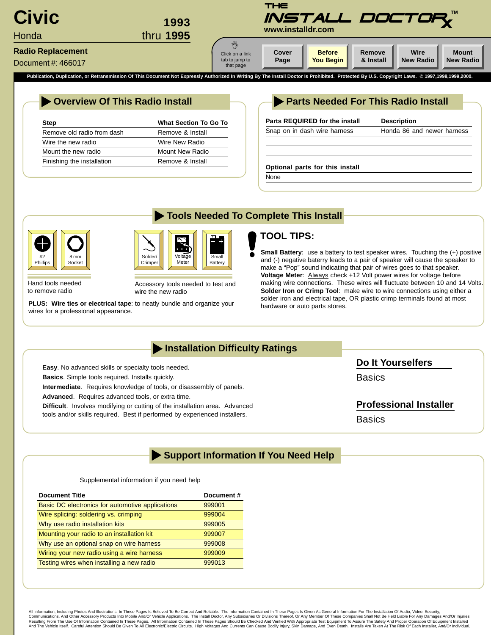<span id="page-1-0"></span>

**Tools Needed To Complete This Install**

|  |  |  | Overview Of This Radio Install |  |
|--|--|--|--------------------------------|--|
|--|--|--|--------------------------------|--|

| Step                       | <b>What Section To Go To</b> |
|----------------------------|------------------------------|
| Remove old radio from dash | Remove & Install             |
| Wire the new radio         | Wire New Radio               |
| Mount the new radio        | Mount New Radio              |
| Finishing the installation | Remove & Install             |

### **Parts Needed For This Radio Install**

| Honda 86 and newer harness |
|----------------------------|
|                            |
|                            |
|                            |
|                            |
|                            |
|                            |



Hand tools needed to remove radio



Accessory tools needed to test and wire the new radio

**PLUS:** Wire ties or electrical tape: to neatly bundle and organize your hardware or auto parts stores. wires for a professional appearance.

# **TOOL TIPS:**

**Small Battery:** use a battery to test speaker wires. Touching the (+) positive and (-) negative baterry leads to a pair of speaker will cause the speaker to make a "Pop" sound indicating that pair of wires goes to that speaker. **Voltage Meter**: Always check +12 Volt power wires for voltage before making wire connections. These wires will fluctuate between 10 and 14 Volts. **Solder Iron or Crimp Tool**: make wire to wire connections using either a solder iron and electrical tape, OR plastic crimp terminals found at most

# **Installation Difficulty Ratings**

**Easy**. No advanced skills or specialty tools needed. **Basics**. Simple tools required. Installs quickly.

**Intermediate**. Requires knowledge of tools, or disassembly of panels.

**Advanced**. Requires advanced tools, or extra time.

**Difficult**. Involves modifying or cutting of the installation area. Advanced tools and/or skills required. Best if performed by experienced installers.

**Do It Yourselfers**

**Basics** 

# **Professional Installer**

**Basics** 

# **Support Information If You Need Help**

### Supplemental information if you need help

| <b>Document Title</b>                            | Document# |
|--------------------------------------------------|-----------|
| Basic DC electronics for automotive applications | 999001    |
| Wire splicing: soldering vs. crimping            | 999004    |
| Why use radio installation kits                  | 999005    |
| Mounting your radio to an installation kit       | 999007    |
| Why use an optional snap on wire harness         | 999008    |
| Wiring your new radio using a wire harness       | 999009    |
| Testing wires when installing a new radio        | 999013    |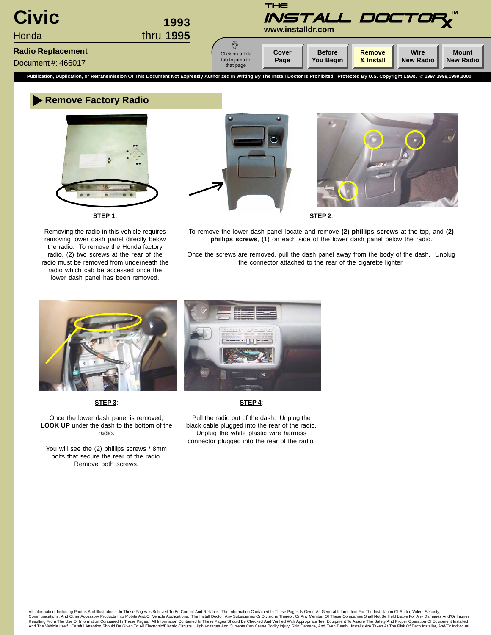<span id="page-2-0"></span>

### **Remove Factory Radio**



**STEP 1**:

Removing the radio in this vehicle requires removing lower dash panel directly below the radio. To remove the Honda factory radio, (2) two screws at the rear of the radio must be removed from underneath the radio which cab be accessed once the lower dash panel has been removed.





**STEP 2**:

To remove the lower dash panel locate and remove **(2) phillips screws** at the top, and **(2) phillips screws**, (1) on each side of the lower dash panel below the radio.

Once the screws are removed, pull the dash panel away from the body of the dash. Unplug the connector attached to the rear of the cigarette lighter.



**STEP 3**:

Once the lower dash panel is removed, **LOOK UP** under the dash to the bottom of the radio.

You will see the (2) phillips screws / 8mm bolts that secure the rear of the radio. Remove both screws.

Pull the radio out of the dash. Unplug the black cable plugged into the rear of the radio. Unplug the white plastic wire harness connector plugged into the rear of the radio.

**STEP 4**: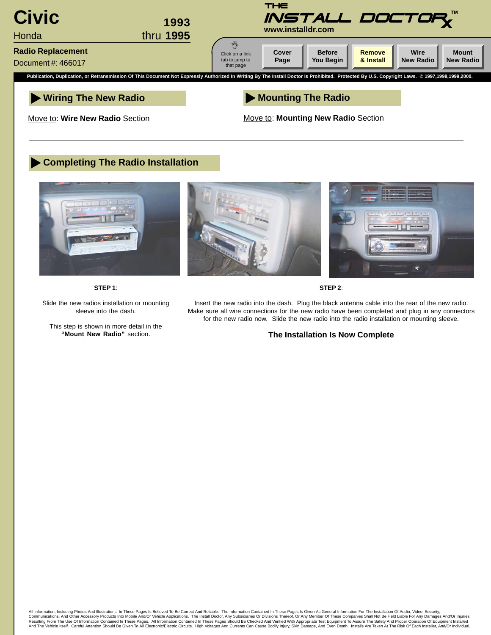

Move to: **Wire New Radio** Section

Move to: **Mounting New Radio** Section

### **Completing The Radio Installation**



**STEP 1**:

Slide the new radios installation or mounting sleeve into the dash.

This step is shown in more detail in the **"Mount New Radio"** section.

Insert the new radio into the dash. Plug the black antenna cable into the rear of the new radio. Make sure all wire connections for the new radio have been completed and plug in any connectors for the new radio now. Slide the new radio into the radio installation or mounting sleeve.

**STEP 2**:

### **The Installation Is Now Complete**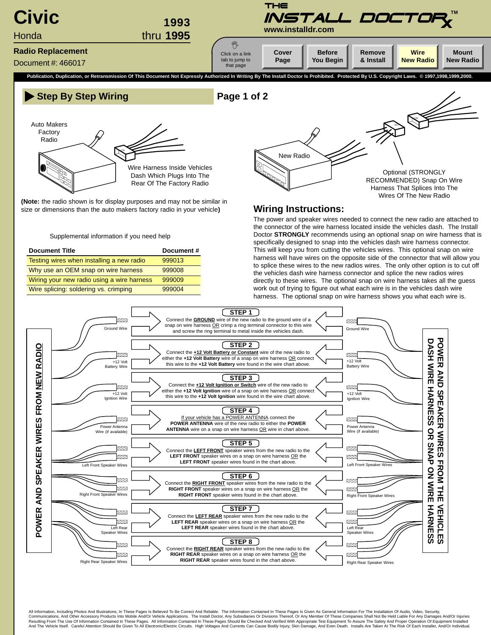<span id="page-4-0"></span>



**(Note:** the radio shown is for display purposes and may not be similar in size or dimensions than the auto makers factory radio in your vehicle**)**

Supplemental information if you need help

| <b>Document Title</b>                      | Document# |
|--------------------------------------------|-----------|
| Testing wires when installing a new radio  | 999013    |
| Why use an OEM snap on wire harness        | 999008    |
| Wiring your new radio using a wire harness | 999009    |
| Wire splicing: soldering vs. crimping      | 999004    |



### **Wiring Instructions:**

The power and speaker wires needed to connect the new radio are attached to the connector of the wire harness located inside the vehicles dash. The Install Doctor **STRONGLY** recommends using an optional snap on wire harness that is specifically designed to snap into the vehicles dash wire harness connector. This will keep you from cutting the vehicles wires. This optional snap on wire harness will have wires on the opposite side of the connector that will allow you to splice these wires to the new radios wires. The only other option is to cut off the vehicles dash wire harness connector and splice the new radios wires directly to these wires. The optional snap on wire harness takes all the guess work out of trying to figure out what each wire is in the vehicles dash wire harness. The optional snap on wire harness shows you what each wire is.



All Information, Including Photos And Illustrations, In These Pages Is Believed To Be Correct And Reliable. The Information Contained In These Pages Is Given As General Information For The Installation Of Audio, Video, Sec Communications, And Other Accessory Products Into Mobile And/Or Vehicle Applications. The Install Doctor, Any Subsidiaries Or Divisions Thereof, Or Any Member Of These Companies Shall Not Be Held Liable For Any Damages An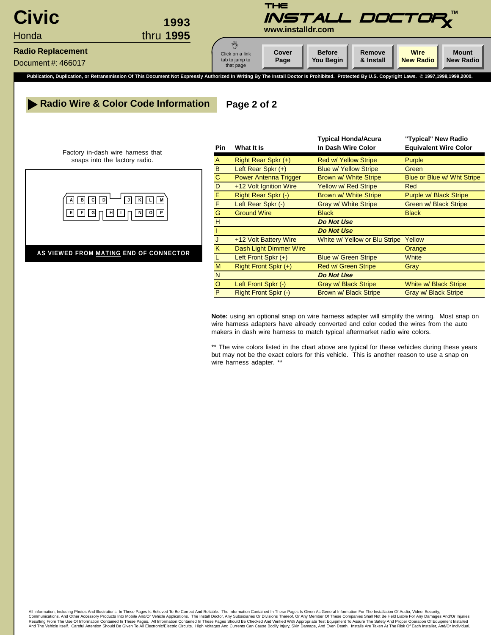

### **Radio Wire & Color Code Information Page 2 of 2**

Factory in-dash wire harness that snaps into the factory radio.



**AS VIEWED FROM MATING END OF CONNECTOR**

| In Dash Wire Color<br><b>Equivalent Wire Color</b><br><b>Pin</b><br>What It Is<br>A<br>Right Rear Spkr (+)<br>Purple<br><b>Red w/ Yellow Stripe</b><br>B<br>Left Rear Spkr $(+)$<br><b>Blue w/ Yellow Stripe</b><br>Green<br>$\mathbf C$<br><b>Power Antenna Trigger</b><br>Brown w/ White Stripe<br>Blue or Blue w/ Wht Stripe<br>D<br>+12 Volt Ignition Wire<br><b>Yellow w/ Red Stripe</b><br><b>Red</b><br>Ε<br>Right Rear Spkr (-)<br>Brown w/ White Stripe<br>Purple w/ Black Stripe<br>F<br>Left Rear Spkr (-)<br><b>Gray w/ White Stripe</b><br>Green w/ Black Stripe<br>G<br><b>Ground Wire</b><br><b>Black</b><br><b>Black</b><br>H<br><b>Do Not Use</b><br><b>Do Not Use</b><br>+12 Volt Battery Wire<br>White w/ Yellow or Blu Stripe<br>Yellow<br>J<br>Dash Light Dimmer Wire<br>K<br>Orange<br>Left Front Spkr $(+)$<br><b>Blue w/ Green Stripe</b><br><b>White</b><br>L<br>M<br>Right Front Spkr (+)<br>Red w/ Green Stripe<br>Gray<br>N<br><b>Do Not Use</b><br>$\circ$<br>Left Front Spkr (-)<br><b>Gray w/ Black Stripe</b><br>White w/ Black Stripe<br>P<br>Right Front Spkr (-)<br>Brown w/ Black Stripe<br><b>Gray w/ Black Stripe</b> |  | <b>Typical Honda/Acura</b> | "Typical" New Radio |
|-------------------------------------------------------------------------------------------------------------------------------------------------------------------------------------------------------------------------------------------------------------------------------------------------------------------------------------------------------------------------------------------------------------------------------------------------------------------------------------------------------------------------------------------------------------------------------------------------------------------------------------------------------------------------------------------------------------------------------------------------------------------------------------------------------------------------------------------------------------------------------------------------------------------------------------------------------------------------------------------------------------------------------------------------------------------------------------------------------------------------------------------------------------|--|----------------------------|---------------------|
|                                                                                                                                                                                                                                                                                                                                                                                                                                                                                                                                                                                                                                                                                                                                                                                                                                                                                                                                                                                                                                                                                                                                                             |  |                            |                     |
|                                                                                                                                                                                                                                                                                                                                                                                                                                                                                                                                                                                                                                                                                                                                                                                                                                                                                                                                                                                                                                                                                                                                                             |  |                            |                     |
|                                                                                                                                                                                                                                                                                                                                                                                                                                                                                                                                                                                                                                                                                                                                                                                                                                                                                                                                                                                                                                                                                                                                                             |  |                            |                     |
|                                                                                                                                                                                                                                                                                                                                                                                                                                                                                                                                                                                                                                                                                                                                                                                                                                                                                                                                                                                                                                                                                                                                                             |  |                            |                     |
|                                                                                                                                                                                                                                                                                                                                                                                                                                                                                                                                                                                                                                                                                                                                                                                                                                                                                                                                                                                                                                                                                                                                                             |  |                            |                     |
|                                                                                                                                                                                                                                                                                                                                                                                                                                                                                                                                                                                                                                                                                                                                                                                                                                                                                                                                                                                                                                                                                                                                                             |  |                            |                     |
|                                                                                                                                                                                                                                                                                                                                                                                                                                                                                                                                                                                                                                                                                                                                                                                                                                                                                                                                                                                                                                                                                                                                                             |  |                            |                     |
|                                                                                                                                                                                                                                                                                                                                                                                                                                                                                                                                                                                                                                                                                                                                                                                                                                                                                                                                                                                                                                                                                                                                                             |  |                            |                     |
|                                                                                                                                                                                                                                                                                                                                                                                                                                                                                                                                                                                                                                                                                                                                                                                                                                                                                                                                                                                                                                                                                                                                                             |  |                            |                     |
|                                                                                                                                                                                                                                                                                                                                                                                                                                                                                                                                                                                                                                                                                                                                                                                                                                                                                                                                                                                                                                                                                                                                                             |  |                            |                     |
|                                                                                                                                                                                                                                                                                                                                                                                                                                                                                                                                                                                                                                                                                                                                                                                                                                                                                                                                                                                                                                                                                                                                                             |  |                            |                     |
|                                                                                                                                                                                                                                                                                                                                                                                                                                                                                                                                                                                                                                                                                                                                                                                                                                                                                                                                                                                                                                                                                                                                                             |  |                            |                     |
|                                                                                                                                                                                                                                                                                                                                                                                                                                                                                                                                                                                                                                                                                                                                                                                                                                                                                                                                                                                                                                                                                                                                                             |  |                            |                     |
|                                                                                                                                                                                                                                                                                                                                                                                                                                                                                                                                                                                                                                                                                                                                                                                                                                                                                                                                                                                                                                                                                                                                                             |  |                            |                     |
|                                                                                                                                                                                                                                                                                                                                                                                                                                                                                                                                                                                                                                                                                                                                                                                                                                                                                                                                                                                                                                                                                                                                                             |  |                            |                     |
|                                                                                                                                                                                                                                                                                                                                                                                                                                                                                                                                                                                                                                                                                                                                                                                                                                                                                                                                                                                                                                                                                                                                                             |  |                            |                     |
|                                                                                                                                                                                                                                                                                                                                                                                                                                                                                                                                                                                                                                                                                                                                                                                                                                                                                                                                                                                                                                                                                                                                                             |  |                            |                     |

**Note:** using an optional snap on wire harness adapter will simplify the wiring. Most snap on wire harness adapters have already converted and color coded the wires from the auto makers in dash wire harness to match typical aftermarket radio wire colors.

\*\* The wire colors listed in the chart above are typical for these vehicles during these years but may not be the exact colors for this vehicle. This is another reason to use a snap on wire harness adapter. \*\*